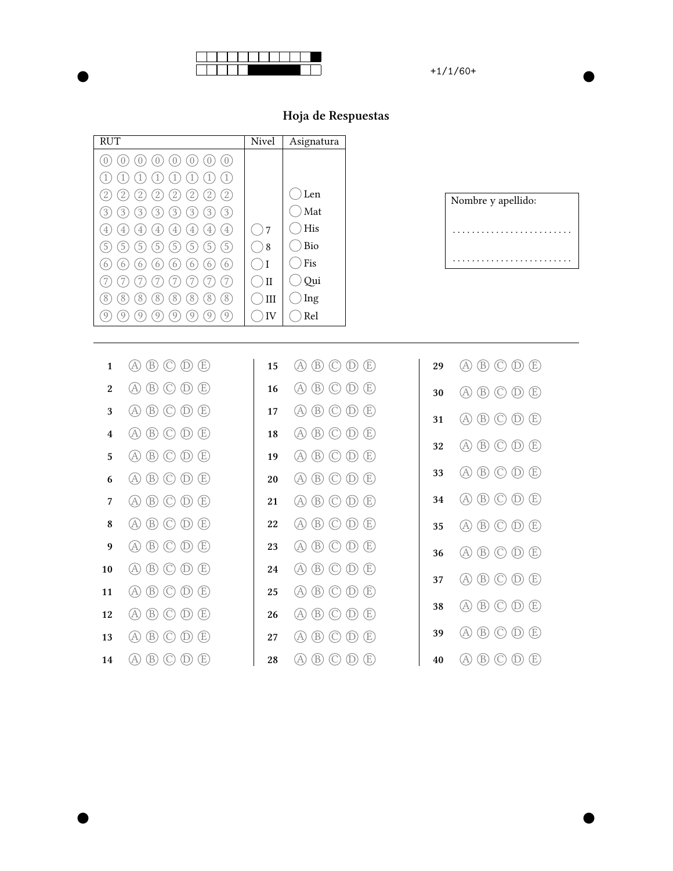|  |  |  |  |  |  | $/60+$<br>⊥ 1<br>$\prime$ 1<br><b>.</b><br>.<br>. .<br>. . |  |
|--|--|--|--|--|--|------------------------------------------------------------|--|

| <b>RUT</b>                  |                                                                                                                                                                                                                                                                                                                                                                  | Nivel                                                    | Asignatura                                     |                                |    |                                                                                           |
|-----------------------------|------------------------------------------------------------------------------------------------------------------------------------------------------------------------------------------------------------------------------------------------------------------------------------------------------------------------------------------------------------------|----------------------------------------------------------|------------------------------------------------|--------------------------------|----|-------------------------------------------------------------------------------------------|
| $\circled{0}$<br>①          | $\circledcirc$<br>$\circledcirc$<br>$\circled{0}$<br>$\circled{0}$<br>$\circled{0}$<br>$\circled{0}$<br>$\circled{0}$<br>$\textcircled{\scriptsize{1}}$<br>$\begin{array}{c} \textcircled{1} \end{array}$<br>$\Large{\textcircled{\small{1}}}$<br>$(\mathbf{1})$<br>$\left( \overline{1}\right)$<br>$\left( \mathrm{I}\right)$<br>$\textcircled{\scriptsize{1}}$ |                                                          |                                                |                                |    |                                                                                           |
| $\circled{2}$               | 2)<br>2<br>2<br>2)<br>2)<br>2<br>(2)                                                                                                                                                                                                                                                                                                                             |                                                          | Len                                            |                                |    | Nombre y apellido:                                                                        |
| (3)                         | $\circled{3}$<br>(3)<br>3<br>3<br>3)<br>(3)<br>(3)                                                                                                                                                                                                                                                                                                               |                                                          | Mat                                            |                                |    |                                                                                           |
| $\circled{4}$<br><u>(5)</u> | $\left( 4\right)$<br>$\left( 4\right)$<br>$\left( 4\right)$<br>$\left( 4\right)$<br>$\left(4\right)$<br>$\left( 4\right)$<br>$\left(4\right)$<br>5<br>5<br>(5)<br>(5)<br>5)<br>(5)<br>(5)                                                                                                                                                                        | $\left( \quad \right)$ 7<br>$( )$ 8                      | His<br>Bio                                     |                                |    | .                                                                                         |
| $\circledS$                 | 6<br>6<br>6)<br>6)<br>6<br>6<br>$\odot$                                                                                                                                                                                                                                                                                                                          | $( \ )$ I                                                | Fis                                            |                                |    |                                                                                           |
| 7                           | T)<br>F)<br>$\widehat{z}$<br>T)<br>7<br>7)<br>7,                                                                                                                                                                                                                                                                                                                 | $(\ )$<br>$\rm II$                                       | Qui                                            |                                |    |                                                                                           |
| (8)                         | (8)<br>8<br>(8)<br>(8)<br>(8)<br>(8)<br>(8)                                                                                                                                                                                                                                                                                                                      | $\rm III$<br>$\left(\begin{array}{c} \end{array}\right)$ | Ing<br>- 1                                     |                                |    |                                                                                           |
| $\circledcirc$              | $\circledcirc$<br>$\circledcirc$<br>$\widehat{9}$<br>$\circledcirc$<br>$\circledcirc$<br>$\circledcirc$<br>$\odot$                                                                                                                                                                                                                                               | IV<br>C.                                                 | Rel                                            |                                |    |                                                                                           |
|                             |                                                                                                                                                                                                                                                                                                                                                                  |                                                          |                                                |                                |    |                                                                                           |
| $\mathbf{1}$                | $\textcircled{A}$ $\textcircled{B}$ $\textcircled{C}$ $\textcircled{D}$ $\textcircled{E}$                                                                                                                                                                                                                                                                        | 15                                                       | $B$ $C$ $D$ $E$<br>@                           |                                | 29 | $\textcircled{A}$ $\textcircled{B}$ $\textcircled{C}$ $\textcircled{D}$ $\textcircled{E}$ |
| $\boldsymbol{2}$            | $\circledR$<br>@<br>$\circled{c}$<br>$\circled{D}$<br>$\mathbb{E}$                                                                                                                                                                                                                                                                                               | 16                                                       | $\circledR$<br><b>A</b><br>$\circled{c}$       | $\circled{D}$<br>(E)           | 30 | $\circledB$<br>$(D)$ $(D)$<br>$\circled{A}$                                               |
| 3                           | $\circledR$<br>$\circled{c}$<br>$\circled{D}$<br>$\mathbb{E}$<br>(A)                                                                                                                                                                                                                                                                                             | 17                                                       | $\circled{B}$<br>@<br>$\odot$                  | $\circled{D}$<br>$\mathbb{E}$  | 31 | $\circled{B}$<br>$(D)$ $(E)$<br>A)                                                        |
| $\overline{\mathbf{4}}$     | (B)<br>$\circled{c}$<br>$\circled{D}$<br>(E)<br>$\circledA$                                                                                                                                                                                                                                                                                                      | 18                                                       | $\circledA$<br>$\circled{B}$<br>$\odot$        | (D)<br>(E)                     | 32 | $\circled{B}$ $\circlearrowright$<br>$(D)$ $(E)$<br>$\circled{A}$                         |
| 5                           | $\circledR$<br>$\circled{D}$<br>$\mathbb{E}$<br>A)<br>$\circled{c}$                                                                                                                                                                                                                                                                                              | 19                                                       | $\circledR$<br>$\circled{A}$<br>$\circled{c}$  | (D)<br>$\mathbb{E}$            |    |                                                                                           |
| 6                           | $\circledD$<br>$\circled{B}$<br>$\odot$<br>$\circled{E}$<br>@                                                                                                                                                                                                                                                                                                    | 20                                                       | $\circled{B}$<br>$\circledcirc$<br>$\circledA$ | $\circled{E}$<br>$\circled{D}$ | 33 | ®©<br>$\circledD \circledE$<br>$\circled{A}$                                              |
| 7                           | $\circledR$<br>$\circled{c}$<br>$\circledD$<br>$\mathbb{E}$<br>@                                                                                                                                                                                                                                                                                                 | 21                                                       | $\circledR$<br>$\circled{c}$<br><b>A</b>       | $\circled{D}$<br>$\mathbb{E}$  | 34 | $\circledB$<br>$(D)$ $(D)$<br>$\circled{A}$                                               |
| ${\bf 8}$                   | $\circledR$<br>$\circled{c}$<br>$\circled{D}$<br>$\mathbb{E}$<br>(A)                                                                                                                                                                                                                                                                                             | 22                                                       | $\circledR$<br>$\circled{c}$<br><b>A</b>       | $\circled{D}$<br>$\mathbb{E}$  | 35 | $\circledB$<br>$\circledD \circledE$<br>A)                                                |
| 9                           | $\circled{D}$<br>$\circled{B}$<br>$\odot$<br>(E)<br>$\left(\overline{A}\right)$                                                                                                                                                                                                                                                                                  | 23                                                       | $\circled{A}$<br>$\circledR$<br>$\odot$        | $\circled{D}$<br>(E)           | 36 | $\circled{B}$ $\circlearrowright$<br>$(D)$ $(E)$<br>A)                                    |
| 10                          | $\circledR$<br>$\circled{D}$<br>$\mathbb{E}$<br>A)<br>$\circled{c}$                                                                                                                                                                                                                                                                                              | 24                                                       | $\circledR$<br>A)<br>$\circled{c}$             | $\circled{D}$<br>$\mathbb{E}$  | 37 | $\circledB$<br>$\circled{E}$<br>@<br>$\circledD$                                          |
| 11                          | $\circled{B}$<br>$\circledcirc$<br>$\circledD$<br>$\circled{E}$<br>$\circled{A}$                                                                                                                                                                                                                                                                                 | 25                                                       | $\circled{B}$<br>$\circledcirc$<br>@           | $\circled{D}$<br>$\circled{E}$ |    |                                                                                           |
| 12                          | $\circledR$<br>$\circled{A}$<br>$\circled{c}$<br>$\circled{D}$<br>$\mathbb{E}$                                                                                                                                                                                                                                                                                   | 26                                                       | $\circledR$<br>@<br>$\circled{c}$              | $\circled{D}$<br>$\mathbb{E}$  | 38 | $\circledB$<br>$\odot$<br>$\circled{D}$<br>$\circled{E}$<br>A)                            |
| 13                          | $\circled{B}$<br>$\circled{c}$<br>$\circled{D}$<br>$\mathbb{E}$<br>(A)                                                                                                                                                                                                                                                                                           | 27                                                       | $\circled{B}$<br>$\circled{c}$<br><b>A</b>     | $\mathbb{E}$<br>$\circled{D}$  | 39 | $\circledR$<br>$\odot$<br>$\circled{D}$<br>$\circled{E}$<br>(A)                           |
| 14                          | $(B)$ $(C)$ $(D)$ $(E)$<br>A)                                                                                                                                                                                                                                                                                                                                    | 28                                                       | $(B)$ $(C)$ $(D)$ $(E)$<br>$\circledA$         |                                | 40 | $(B)$ $($ $)$ $($ $)$ $($ $)$ $($ $)$ $($ $)$<br>A)                                       |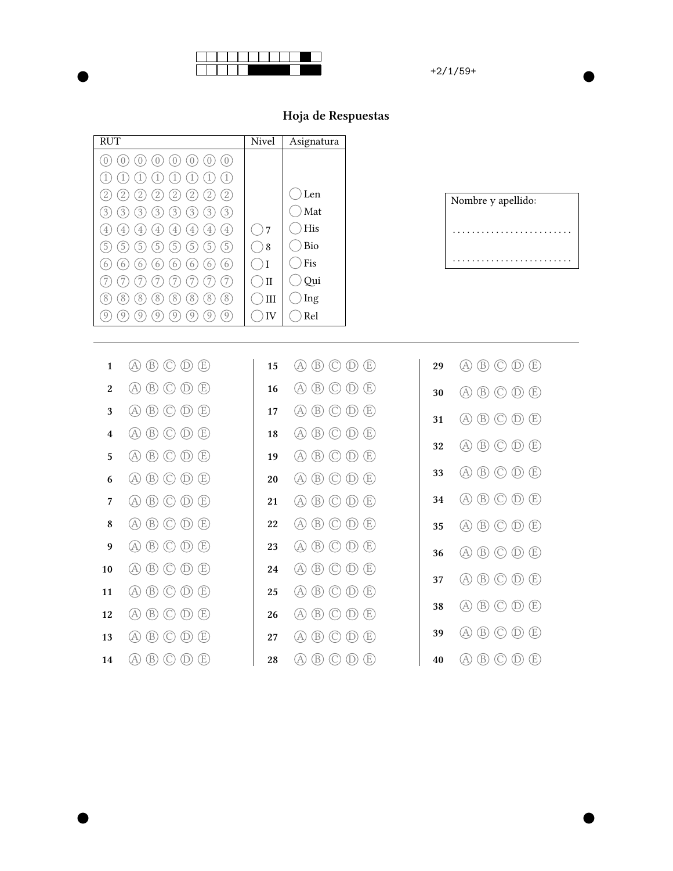|  |  |  |  |  | . . |  |
|--|--|--|--|--|-----|--|

|                       | <b>RUT</b>                                                                                                                                                                                | Nivel                                                               | Asignatura                                                                                                                           |                     |                                                                              |
|-----------------------|-------------------------------------------------------------------------------------------------------------------------------------------------------------------------------------------|---------------------------------------------------------------------|--------------------------------------------------------------------------------------------------------------------------------------|---------------------|------------------------------------------------------------------------------|
| $\circledcirc$<br>(1) | $\circled{0}$<br>$\circled{0}$<br>$\circledcirc$<br>$\circled{0}$<br>$\circledcirc$<br>$\circled{0}$<br>$\left( \mathrm{1}\right)$<br>(1)<br>$\hat{1}$<br>(1)<br>$\left( 1\right)$<br>(1) | $\circledcirc$<br>$\textcircled{\scriptsize{1}}$                    |                                                                                                                                      |                     |                                                                              |
| $\circled{2}$         | 2)<br>2<br>$\widehat{2}$<br>2)<br>2,<br>(2)                                                                                                                                               | 2                                                                   | Len                                                                                                                                  |                     | Nombre y apellido:                                                           |
| 3                     | 3<br>3<br>3)<br>3<br>(3)<br>3)                                                                                                                                                            | 3                                                                   | $\operatorname*{Mat}% \nolimits_{\mathbb{Z}}\left( \mathbb{Z}^{\Sigma\left( 1\right) }% ,\mathbb{Z}^{\Sigma\left( 2\right) }\right)$ |                     |                                                                              |
| $\bigcirc$<br>(5)     | $\left( 4\right)$<br>$\widehat{4}$<br>$\binom{4}{5}$<br>$\mathcal{A}$<br>$\left( 4\right)$<br>$\left( 4\right)$<br>(5)<br>5<br>5)<br>(5)<br>5)<br>(5)                                     | $\circled{4}$<br>7<br>(5)<br>$\rightarrow$<br>8                     | His<br>Bio                                                                                                                           |                     |                                                                              |
| $\circledcirc$        | 6<br>6<br>6<br>6<br>6<br>$\odot$                                                                                                                                                          | 6<br>$\Box$                                                         | Fis                                                                                                                                  |                     |                                                                              |
| 7                     | $\widehat{Z}$<br>T.<br>T,<br>7,<br>7)<br>7)                                                                                                                                               | 7)<br>$\left( \begin{array}{c} \end{array} \right)$<br>$\mathbf{I}$ | Qui                                                                                                                                  |                     |                                                                              |
| (8)                   | (8)<br>(8)<br>(8)<br>(8)<br>(8)<br>(8)                                                                                                                                                    | (8)<br>$\Box$                                                       | Ing                                                                                                                                  |                     |                                                                              |
|                       | $\circledcirc$<br>$\circledcirc$<br>$\circledcirc$<br>$\circledcirc$<br>$\circledcirc$<br>$\circledcirc$<br>$\circledcirc$                                                                | $\circledcirc$<br>$\bigcirc$ IV                                     | Rel<br>$\rightarrow$                                                                                                                 |                     |                                                                              |
|                       |                                                                                                                                                                                           |                                                                     |                                                                                                                                      |                     |                                                                              |
|                       | $(A)$ $(B)$ $(C)$ $(D)$ $(E)$<br>$\mathbf{1}$                                                                                                                                             | 15                                                                  | $(B)$ $(C)$ $(D)$ $(E)$<br>(A)                                                                                                       | 29                  | $(B)$ $($ $)$ $($ $)$ $($ $)$ $($ $)$ $($ $)$<br>A)                          |
|                       | $\circled{B}$<br>$\circled{D}$<br>$\circled{E}$<br>A)<br>$\odot$<br>$\boldsymbol{2}$                                                                                                      | 16                                                                  | $\circled{B}$<br>$\odot$<br>$\circledD$<br>@                                                                                         | $\mathbb{E}$<br>30  | $B$ $C$ $D$ $E$<br>$\circled{A}$                                             |
|                       | $\circled{B}$<br>$\odot$<br>$\circled{D}$<br>$\circled{E}$<br>$\circled{A}$<br>3                                                                                                          | 17                                                                  | $\circled{B}$<br>$\circled{c}$<br>$\circled{D}$<br>(A)                                                                               | $\circled{E}$<br>31 | $B$ $C$ $D$ $E$<br>$\circledA$                                               |
|                       | $\circled{B}$<br>$\circledcirc$ $\circledcirc$ $\circledcirc$<br><b>A</b><br>4                                                                                                            | 18                                                                  | (B)<br>$\circled{c}$<br>$\circled{D}$<br>@                                                                                           | (E)<br>32           | $B$ $C$ $D$ $E$<br>$\circledA$                                               |
|                       | $\mathcal{A}$<br>$\mathcal{B}$<br>$\odot$<br>$\circled{D}$<br>$\mathbb{E}$<br>5                                                                                                           | 19                                                                  | $\circled{B}$<br>A)<br>$\odot$<br>$\circled{D}$                                                                                      | $\mathbb{E}$        |                                                                              |
|                       | $\circled{D}$<br>$\circled{B}$<br>$\odot$<br>$\mathbb{E}$<br>A)<br>6                                                                                                                      | 20                                                                  | $\circled{B}$<br>$\circled{c}$<br>$\circled{D}$<br>A)                                                                                | 33<br>$\mathbb{E}$  | $B$ $O$ $D$ $E$<br>A)                                                        |
|                       | $\circledR$<br>$\odot$<br>$\circled{D}$<br>$\circled$<br>A)<br>7                                                                                                                          | 21                                                                  | $\circled{B}$<br>$\circledcirc$<br>$\circledD$<br>@                                                                                  | $\mathbb{E}$<br>34  | B O D E<br>@                                                                 |
|                       | $\circled{B}$<br>$\odot$<br>$\circledD$<br>$\circled{E}$<br>$\circled{A}$<br>$\bf 8$                                                                                                      | 22                                                                  | $\circled{B}$<br>$\circled{c}$<br>$^{\circledR}$<br>$\circled{A}$                                                                    | $\circled{E}$<br>35 | $B$ $C$ $D$ $E$<br>A)                                                        |
|                       | $\mathcal{B}$<br>$\circledcirc$ $\circledcirc$ $\circledcirc$<br>$\left(\overline{A}\right)$<br>9                                                                                         | 23                                                                  | $\circled{B}$<br>$\circled{D}$<br>(A)<br>$\circled{c}$                                                                               | (E)<br>36           | $\circled{B}$<br>$\odot$ $\odot$<br>(E)<br>(A)                               |
|                       | $\circled{B}$<br>$\circled{D}$<br>$\mathbb{E}$<br>A)<br>$\odot$<br>10                                                                                                                     | 24                                                                  | $\mathcal{B}$<br>$\odot$<br>$\circled{D}$<br>A)                                                                                      | $\mathbb{E}$<br>37  | $(B)$ $($ $)$ $($ $)$ $($ $)$<br>$\circled{E}$<br>@                          |
|                       | $\circled{B}$<br>$\odot$<br>$\circled{D}$<br>$\mathbb{E}$<br>$\circled{A}$<br>11                                                                                                          | 25                                                                  | $\circled{B}$<br>$\circled{D}$<br>@<br>$\odot$                                                                                       | $\mathbb{E}$        |                                                                              |
|                       | $\circledB$<br>$\circled$<br>$\circled{c}$<br>$\circled{D}$<br>$\circled{A}$<br>12                                                                                                        | 26                                                                  | $\circledcirc$<br>$\circled{B}$<br>$\circledD$<br>(A)                                                                                | 38<br>$\circled{E}$ | © D E<br>$\circled{B}$<br>(A)                                                |
|                       | $\circled{B}$<br>$\circled{c}$<br>$\circled{D}$<br>$\circled{E}$<br>$\circled{A}$<br>13                                                                                                   | 27                                                                  | $\mathcal{B}$<br>O<br>D)<br>(A)                                                                                                      | 39<br>$\mathbb{E}$  | $\circledB$<br>$\odot$<br>$\circledD \circledE$<br>$^\textcircled{\text{A}}$ |
|                       | $\circled{B}$<br>$\circledcirc$ $\circledcirc$ $\circledcirc$<br>@<br>14                                                                                                                  | 28                                                                  | $(B)$ $(C)$ $(D)$<br>A)                                                                                                              | $\mathbb{E}$<br>40  | $\circledB$ $\circledD$ $\circledB$<br>(A)                                   |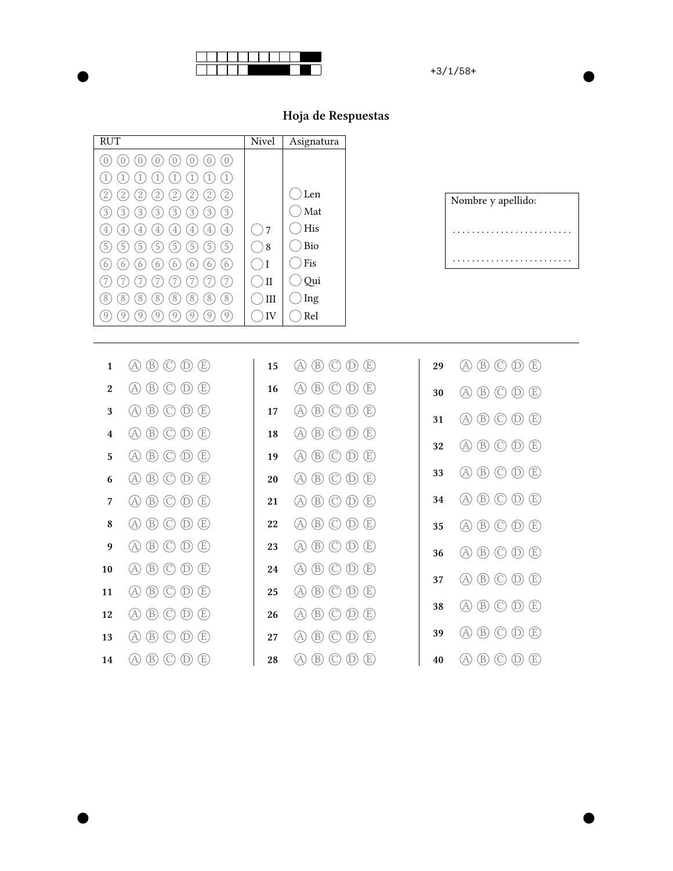|  |  |  |  | . . | ٠ | ./58+<br>$+3/1$<br>ິບ/ |  |
|--|--|--|--|-----|---|------------------------|--|

| <b>RUT</b>                                      |                                                                                                                                                                                                                                                                                                                                      | Nivel                                                                                                        | Asignatura                                                    |                                |    |                                                                                   |
|-------------------------------------------------|--------------------------------------------------------------------------------------------------------------------------------------------------------------------------------------------------------------------------------------------------------------------------------------------------------------------------------------|--------------------------------------------------------------------------------------------------------------|---------------------------------------------------------------|--------------------------------|----|-----------------------------------------------------------------------------------|
| $\circled{0}$<br>$\textcircled{\scriptsize{1}}$ | $\circled{0}$<br>$\circled{0}$<br>$\circledcirc$<br>$\circled{0}$<br>$\circled{0}$<br>$\circled{0}$<br>$\circled{0}$<br>$\textcircled{\scriptsize{1}}$<br>$\left( \mathrm{T}\right)$<br>$\Large{\textcircled{\small{1}}}$<br>$\left( \Gamma \right)$<br>$\textcircled{\scriptsize{1}}$<br><u>①</u><br>$\textcircled{\scriptsize{1}}$ |                                                                                                              |                                                               |                                |    |                                                                                   |
| $\circled{2}$                                   | 2)<br>2<br>2)<br>2)<br>2)<br>2<br>2)                                                                                                                                                                                                                                                                                                 |                                                                                                              | Len                                                           |                                |    | Nombre y apellido:                                                                |
| (3)                                             | 3<br>$\circled{3}$<br>(3)<br>3)<br>3<br>3)<br>(3)                                                                                                                                                                                                                                                                                    |                                                                                                              | Mat                                                           |                                |    |                                                                                   |
| $\circled{4}$                                   | $\left( 4\right)$<br>$\left( 4\right)$<br>$\left( 4\right)$<br>$\left( 4\right)$<br>$\left(4\right)$<br>$\left(4\right)$<br>$\left(4\right)$                                                                                                                                                                                         | $\binom{1}{2}$                                                                                               | His                                                           |                                |    | .                                                                                 |
| $\circledS$                                     | (5)<br>5)<br>5<br>5)<br>(5)<br>5)<br>(5)                                                                                                                                                                                                                                                                                             | $\left(\begin{array}{c} \end{array}\right)$<br>$\overline{8}$                                                | Bio                                                           |                                |    |                                                                                   |
| $\circledS$<br>7                                | 6<br>6<br>6)<br>6<br>6)<br>6<br>$\odot$<br>T)<br>T)<br>7)<br>7)<br>7,<br>7)<br>T,                                                                                                                                                                                                                                                    | $\left(\begin{array}{c} \end{array}\right)$ I<br>$\left( \begin{array}{c} 1 \end{array} \right)$<br>$\rm II$ | Fis<br>Qui                                                    |                                |    |                                                                                   |
| (8)                                             | (8)<br>(8)<br>(8)<br>(8)<br>(8)<br>(8)<br>(8)                                                                                                                                                                                                                                                                                        | $\rm III$                                                                                                    | Ing                                                           |                                |    |                                                                                   |
| $\circledcirc$                                  | $\circled{9}$<br>$\circledcirc$<br>$\circledcirc$<br>$\circledcirc$<br>9)<br>$\circledcirc$<br>$\odot$                                                                                                                                                                                                                               | IV                                                                                                           | Rel                                                           |                                |    |                                                                                   |
|                                                 |                                                                                                                                                                                                                                                                                                                                      |                                                                                                              |                                                               |                                |    |                                                                                   |
| $\mathbf{1}$                                    | $\textcircled{A}$ $\textcircled{B}$ $\textcircled{C}$ $\textcircled{D}$ $\textcircled{E}$                                                                                                                                                                                                                                            | 15                                                                                                           | $B$ $C$ $D$ $E$<br><b>A</b>                                   |                                | 29 | $\textcircled{A} \textcircled{B} \textcircled{C} \textcircled{D} \textcircled{E}$ |
| $\boldsymbol{2}$                                | $\circledR$<br>$\mathbb{E}$<br>$\circled{A}$<br>$\circled{c}$<br>$\circled{D}$                                                                                                                                                                                                                                                       | 16                                                                                                           | $\circled{B}$<br>$\circled{c}$<br><b>A</b>                    | $\circled{D}$<br>$\mathbb{E}$  | 30 | $\circledB$<br>$(D)$ $(D)$<br>$\circled{A}$                                       |
| 3                                               | $\circledR$<br>$\odot$<br>$\circled{D}$<br>$\mathbb{E}$<br>(A)                                                                                                                                                                                                                                                                       | 17                                                                                                           | $\circled{B}$<br>$\odot$<br>$\circled{A}$                     | $\circled{D}$<br>$\mathbb{E}$  | 31 | $B$ $C$ $D$ $E$<br>A)                                                             |
| 4                                               | $\mathcal{A}$<br>$\mathcal{B}$<br>$\circled{c}$<br>(D)<br>(E)                                                                                                                                                                                                                                                                        | 18                                                                                                           | $\mathcal{A}$<br>$\circled{B}$<br>$\circled{C}$ $\circled{D}$ | (E)                            |    |                                                                                   |
| 5                                               | $\circledR$<br>$\circled{D}$<br>$\mathbb{E}$<br>A)<br>$\circled{c}$                                                                                                                                                                                                                                                                  | 19                                                                                                           | $\circledR$<br>$\circled{c}$<br>@                             | $\circled{D}$<br>$\mathbb{E}$  | 32 | $(B)$ $($ $)$ $($ $)$ $($ $)$ $($ $)$ $($ $)$<br>$\circled{A}$                    |
| 6                                               | $\circledD$<br>$\circled{B}$<br>$\circled{c}$<br>$\circled{E}$<br>@                                                                                                                                                                                                                                                                  | $20\,$                                                                                                       | $\circled{B}$<br>$\odot$<br>$\circled{A}$                     | $\circled{D}$<br>$\circled{E}$ | 33 | $\circledB$<br>$\circledD \circledE$<br>$\circled{A}$                             |
| 7                                               | $\circled{A}$<br>$\circledR$<br>$\circled{c}$<br>$\circledD$<br>$\mathbb{E}$                                                                                                                                                                                                                                                         | 21                                                                                                           | $\circled{B}$<br>$\circled{c}$<br>@                           | $\circled{D}$<br>$\circled{E}$ | 34 | B O D E<br>$\circled{A}$                                                          |
| $\bf 8$                                         | $\circledR$<br>$\odot$<br>$\circled{D}$<br>$\mathbb{E}$<br>(A)                                                                                                                                                                                                                                                                       | 22                                                                                                           | $\circled{B}$<br>$\odot$<br>$\circled{A}$                     | $\circled{D}$<br>$\mathbb{E}$  | 35 | $\circledB$<br>$\circled{A}$<br>$\circledD \circledE$                             |
| 9                                               | $\circled{D}$<br>$\circled{B}$<br>$\odot$<br>(E)<br>$\left(\overline{A}\right)$                                                                                                                                                                                                                                                      | 23                                                                                                           | $\circled{A}$<br>$\circled{B}$<br>$\circled{C}$ $\circled{D}$ | (E)                            | 36 | $\circled{B}$ $\circlearrowright$<br>$(D)$ $(E)$<br>A)                            |
| 10                                              | $\circledR$<br>$\circled{D}$<br>$\mathbb{E}$<br>A)<br>$\circled{c}$                                                                                                                                                                                                                                                                  | 24                                                                                                           | $\circledR$<br>$\odot$<br>$\circled{A}$                       | $\circled{D}$<br>$\mathbb{E}$  | 37 | $\circled{E}$<br>$\circledB$<br>@<br>$\circledD$                                  |
| 11                                              | $\circled{B}$<br>$\circled{c}$<br>$\circledD$<br>$\circled{E}$<br>$\circled{A}$                                                                                                                                                                                                                                                      | 25                                                                                                           | $\circled{B}$<br>$\circledcirc$<br>$\circled{A}$              | $\circledD$<br>$\circled{E}$   |    |                                                                                   |
| 12                                              | $\circledR$<br>$\circledD$<br>$\mathbb{E}$<br>$\circled{A}$<br>$\circled{c}$                                                                                                                                                                                                                                                         | 26                                                                                                           | $\circledR$<br>$\odot$<br><b>A</b>                            | $\circled{D}$<br>$\mathbb{E}$  | 38 | $\circledB$<br>$\odot$<br>$(D)$ $(D)$<br>A)                                       |
| 13                                              | $\circled{B}$<br>$\circled{c}$<br>$\circled{D}$<br>$\mathbb{E}$<br>(A)                                                                                                                                                                                                                                                               | 27                                                                                                           | $\circled{B}$<br>$\circled{c}$<br>$\circled{A}$               | $\mathbb{E}$<br>$\circled{D}$  | 39 | $\circledR$<br>$\odot$<br>$\circled{D}$<br>$\mathbb{E}$<br>@                      |
| 14                                              | $\circled{C}$ $\circled{D}$ $\circled{E}$<br>A)<br>(B)                                                                                                                                                                                                                                                                               | 28                                                                                                           | $(B)$ $(C)$ $(D)$ $(E)$<br>$\circledA$                        |                                | 40 | $B$ $C$ $D$ $E$<br>A)                                                             |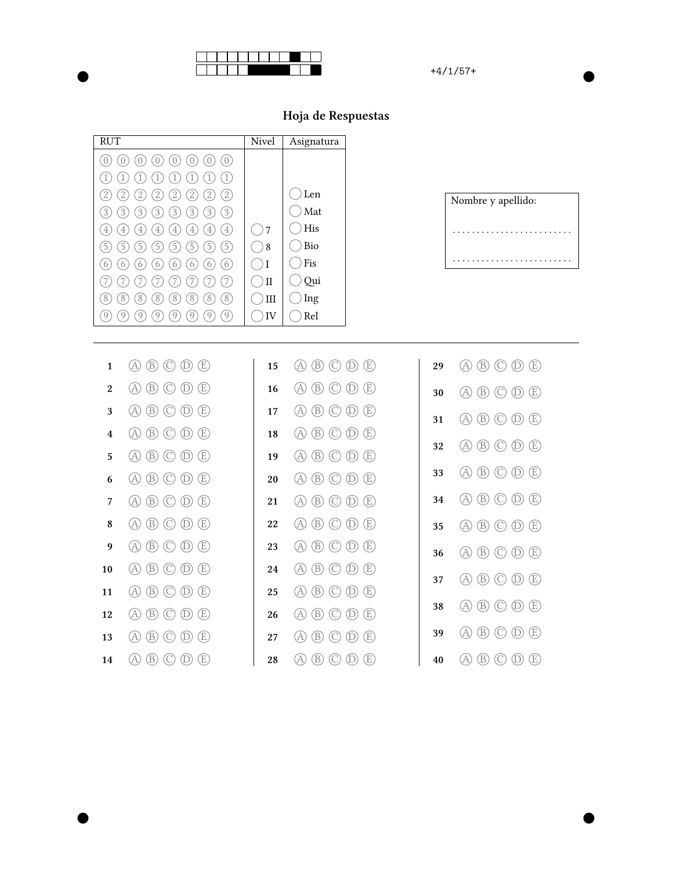|  | ٠ | 1/57+<br>$+4/1$ |
|--|---|-----------------|

|                         | <b>RUT</b>                                                                                                                                                                                            | Nivel                                                               | Asignatura                                                                                                                           |                     |                                                                    |
|-------------------------|-------------------------------------------------------------------------------------------------------------------------------------------------------------------------------------------------------|---------------------------------------------------------------------|--------------------------------------------------------------------------------------------------------------------------------------|---------------------|--------------------------------------------------------------------|
| $\circledcirc$<br>(1)   | $\circled{0}$<br>$\circled{0}$<br>$\circledcirc$<br>$\circled{0}$<br>$\circledcirc$<br>$\circled{0}$<br>$\left( \mathrm{1}\right)$<br>(1)<br>$\hat{1}$<br>$\left(1\right)$<br>$\left(1\right)$<br>(1) | $\circledcirc$<br>$\textcircled{\scriptsize{1}}$                    |                                                                                                                                      |                     |                                                                    |
| $\circled{2}$           | 2)<br>2<br>$\widehat{2}$<br>2)<br>2,<br>(2)                                                                                                                                                           | 2                                                                   | Len                                                                                                                                  |                     | Nombre y apellido:                                                 |
| 3                       | 3<br>3<br>3)<br>3<br>(3)<br>3)                                                                                                                                                                        | 3                                                                   | $\operatorname*{Mat}% \nolimits_{\mathbb{Z}}\left( \mathbb{Z}^{\Sigma\left( 1\right) }% ,\mathbb{Z}^{\Sigma\left( 2\right) }\right)$ |                     |                                                                    |
| $\bigcircled{4}$<br>(5) | $\left( 4\right)$<br>$\widehat{4}$<br>$\binom{4}{5}$<br>$\mathcal{A}$<br>$\left( 4\right)$<br>$\left( 4\right)$<br>(5)<br>5<br>5)<br>(5)<br>5)<br>(5)                                                 | $\circled{4}$<br>7<br>(5)<br>$\rightarrow$<br>8                     | His<br>Bio                                                                                                                           |                     |                                                                    |
| $\circledcirc$          | 6<br>6<br>6<br>6<br>6<br>$\odot$                                                                                                                                                                      | 6<br>$\Box$                                                         | Fis                                                                                                                                  |                     |                                                                    |
| 7                       | $\widehat{Z}$<br>T.<br>T,<br>7,<br>7)<br>7)                                                                                                                                                           | 7)<br>$\left( \begin{array}{c} \end{array} \right)$<br>$\mathbf{I}$ | Qui                                                                                                                                  |                     |                                                                    |
| (8)                     | (8)<br>(8)<br>(8)<br>(8)<br>(8)<br>(8)                                                                                                                                                                | (8)<br>$\Box$                                                       | Ing                                                                                                                                  |                     |                                                                    |
|                         | $\circledcirc$<br>$\circledcirc$<br>$\circledcirc$<br>$\circledcirc$<br>$\circledcirc$<br>$\circledcirc$<br>$\circledcirc$                                                                            | $\circledcirc$<br>$\bigcirc$ IV                                     | Rel<br>$\rightarrow$                                                                                                                 |                     |                                                                    |
|                         |                                                                                                                                                                                                       |                                                                     |                                                                                                                                      |                     |                                                                    |
|                         | $(A)$ $(B)$ $(C)$ $(D)$ $(E)$<br>$\mathbf{1}$                                                                                                                                                         | 15                                                                  | $(B)$ $(C)$ $(D)$ $(E)$<br>(A)                                                                                                       | 29                  | $(B)$ $($ $)$ $($ $)$ $($ $)$ $($ $)$ $($ $)$<br>A)                |
|                         | $\circled{B}$<br>$\circled{D}$<br>$\circled{E}$<br>A)<br>$\odot$<br>$\boldsymbol{2}$                                                                                                                  | 16                                                                  | $\circled{B}$<br>$\odot$<br>$\circledD$<br>@                                                                                         | $\mathbb{E}$<br>30  | $B$ $C$ $D$ $E$<br>$\circled{A}$                                   |
|                         | $\circled{B}$<br>$\odot$<br>$\circled{D}$<br>$\circled{E}$<br>$\circled{A}$<br>3                                                                                                                      | 17                                                                  | $\circled{B}$<br>$\circled{c}$<br>$\circled{D}$<br>(A)                                                                               | $\circled{E}$<br>31 | $B$ $C$ $D$ $E$<br>$\circledA$                                     |
|                         | $\circled{B}$<br>$\circledcirc$ $\circledcirc$ $\circledcirc$<br><b>A</b><br>4                                                                                                                        | 18                                                                  | (B)<br>$\circled{c}$<br>$\circled{D}$<br>@                                                                                           | (E)<br>32           | $B$ $C$ $D$ $E$<br>$\circledA$                                     |
|                         | $\mathcal{A}$<br>$\mathcal{B}$<br>$\odot$<br>$\circled{D}$<br>$\mathbb{E}$<br>5                                                                                                                       | 19                                                                  | $\circled{B}$<br>A)<br>$\odot$<br>$\circled{D}$                                                                                      | $\mathbb{E}$        |                                                                    |
|                         | $\circled{D}$<br>$\circled{B}$<br>$\odot$<br>$\mathbb{E}$<br>A)<br>6                                                                                                                                  | 20                                                                  | $\circled{B}$<br>$\circled{c}$<br>$\circled{D}$<br>A)                                                                                | 33<br>$\mathbb{E}$  | $B$ $O$ $D$ $E$<br>A)                                              |
|                         | $\circledR$<br>$\odot$<br>$\circled{D}$<br>$\circled$<br>A)<br>7                                                                                                                                      | 21                                                                  | $\circled{B}$<br>$\circledcirc$<br>$\circledD$<br>@                                                                                  | $\mathbb{E}$<br>34  | B O D E<br>@                                                       |
|                         | $\circled{B}$<br>$\odot$<br>$\circledD$<br>$\circled{E}$<br>$\circled{A}$<br>$\bf 8$                                                                                                                  | 22                                                                  | $\circled{B}$<br>$\circled{c}$<br>$^{\circledR}$<br>$\circled{A}$                                                                    | $\circled{E}$<br>35 | $B$ $C$ $D$ $E$<br>A)                                              |
|                         | $\mathcal{B}$<br>$\circledcirc$ $\circledcirc$ $\circledcirc$<br>$\left(\overline{A}\right)$<br>9                                                                                                     | 23                                                                  | $\circled{B}$<br>$\circled{D}$<br>(A)<br>$\circled{c}$                                                                               | (E)<br>36           | $\circled{B}$<br>$\odot$ $\odot$<br>(E)<br>(A)                     |
|                         | $\circled{B}$<br>$\circled{D}$<br>$\mathbb{E}$<br>A)<br>$\odot$<br>10                                                                                                                                 | 24                                                                  | $\mathcal{B}$<br>$\odot$<br>$\circled{D}$<br>A)                                                                                      | $\mathbb{E}$<br>37  | $(B)$ $($ $)$ $($ $)$ $($ $)$<br>$\circled{E}$<br>@                |
|                         | $\circled{B}$<br>$\odot$<br>$\circled{D}$<br>$\mathbb{E}$<br>$\circled{A}$<br>11                                                                                                                      | 25                                                                  | $\circled{B}$<br>$\circled{D}$<br>@<br>$\odot$                                                                                       | $\mathbb{E}$        |                                                                    |
|                         | $\circledB$<br>$\circled$<br>$\circled{c}$<br>$\circledD$<br>$\circled{A}$<br>12                                                                                                                      | 26                                                                  | $\circledcirc$<br>$\circledR$<br>$\circledD$<br>(A)                                                                                  | 38<br>$\circled{E}$ | © D E<br>$\circled{B}$<br>(A)                                      |
|                         | $\circled{B}$<br>$\circled{c}$<br>$\circled{D}$<br>$\circled{E}$<br>$\circled{A}$<br>13                                                                                                               | 27                                                                  | $\mathcal{B}$<br>O<br>$^{\circledR}$<br>(A)                                                                                          | 39<br>$\mathbb{E}$  | $\circledB$<br>$\odot$<br>$\circledD \circledE$<br>$^\mathrm{(A)}$ |
|                         | $\circled{B}$<br>$\circledcirc$ $\circledcirc$ $\circledcirc$<br>@<br>14                                                                                                                              | 28                                                                  | $(B)$ $(C)$ $(D)$<br>A)                                                                                                              | $\mathbb{E}$<br>40  | $\circledB$ $\circledD$ $\circledB$<br>(A)                         |